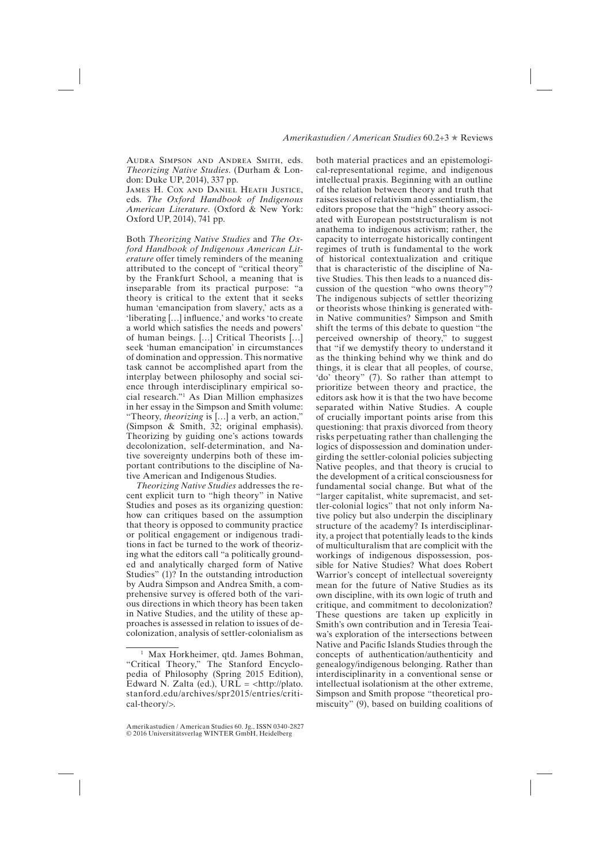## *Amerikastudien / American Studies* 60.2+3 ★ Reviews

Audra Simpson and Andrea Smith, eds. *Theorizing Native Studies*. (Durham & London: Duke UP, 2014), 337 pp.

James H. Cox and Daniel Heath Justice, eds. *The Oxford Handbook of Indigenous American Literature*. (Oxford & New York: Oxford UP, 2014), 741 pp.

Both *Theorizing Native Studies* and *The Oxford Handbook of Indigenous American Literature* offer timely reminders of the meaning attributed to the concept of "critical theory" by the Frankfurt School, a meaning that is inseparable from its practical purpose: "a theory is critical to the extent that it seeks human 'emancipation from slavery,' acts as a 'liberating […] influence,' and works 'to create a world which satisfies the needs and powers' of human beings. […] Critical Theorists […] seek 'human emancipation' in circumstances of domination and oppression. This normative task cannot be accomplished apart from the interplay between philosophy and social science through interdisciplinary empirical social research."1 As Dian Million emphasizes in her essay in the Simpson and Smith volume: "Theory, *theorizing* is […] a verb, an action," (Simpson & Smith, 32; original emphasis). Theorizing by guiding one's actions towards decolonization, self-determination, and Native sovereignty underpins both of these important contributions to the discipline of Native American and Indigenous Studies.

*Theorizing Native Studies* addresses the recent explicit turn to "high theory" in Native Studies and poses as its organizing question: how can critiques based on the assumption that theory is opposed to community practice or political engagement or indigenous traditions in fact be turned to the work of theorizing what the editors call "a politically grounded and analytically charged form of Native Studies" (1)? In the outstanding introduction by Audra Simpson and Andrea Smith, a comprehensive survey is offered both of the various directions in which theory has been taken in Native Studies, and the utility of these approaches is assessed in relation to issues of decolonization, analysis of settler-colonialism as both material practices and an epistemological-representational regime, and indigenous intellectual praxis. Beginning with an outline of the relation between theory and truth that raises issues of relativism and essentialism, the editors propose that the "high" theory associated with European poststructuralism is not anathema to indigenous activism; rather, the capacity to interrogate historically contingent regimes of truth is fundamental to the work of historical contextualization and critique that is characteristic of the discipline of Native Studies. This then leads to a nuanced discussion of the question "who owns theory"? The indigenous subjects of settler theorizing or theorists whose thinking is generated within Native communities? Simpson and Smith shift the terms of this debate to question "the perceived ownership of theory," to suggest that "if we demystify theory to understand it as the thinking behind why we think and do things, it is clear that all peoples, of course, 'do' theory" (7). So rather than attempt to prioritize between theory and practice, the editors ask how it is that the two have become separated within Native Studies. A couple of crucially important points arise from this questioning: that praxis divorced from theory risks perpetuating rather than challenging the logics of dispossession and domination undergirding the settler-colonial policies subjecting Native peoples, and that theory is crucial to the development of a critical consciousness for fundamental social change. But what of the "larger capitalist, white supremacist, and settler-colonial logics" that not only inform Native policy but also underpin the disciplinary structure of the academy? Is interdisciplinarity, a project that potentially leads to the kinds of multiculturalism that are complicit with the workings of indigenous dispossession, possible for Native Studies? What does Robert Warrior's concept of intellectual sovereignty mean for the future of Native Studies as its own discipline, with its own logic of truth and critique, and commitment to decolonization? These questions are taken up explicitly in Smith's own contribution and in Teresia Teaiwa's exploration of the intersections between Native and Pacific Islands Studies through the concepts of authentication/authenticity and genealogy/indigenous belonging. Rather than interdisciplinarity in a conventional sense or intellectual isolationism at the other extreme, Simpson and Smith propose "theoretical promiscuity" (9), based on building coalitions of

<sup>&</sup>lt;sup>1</sup> Max Horkheimer, qtd. James Bohman, "Critical Theory," The Stanford Encyclopedia of Philosophy (Spring 2015 Edition), Edward N. Zalta (ed.),  $URL =$ stanford.edu/archives/spr2015/entries/critical-theory/>.

Amerikastudien / American Studies 60. Jg., ISSN 0340-2827 © 2016 Universitätsverlag WINTER GmbH, Heidelberg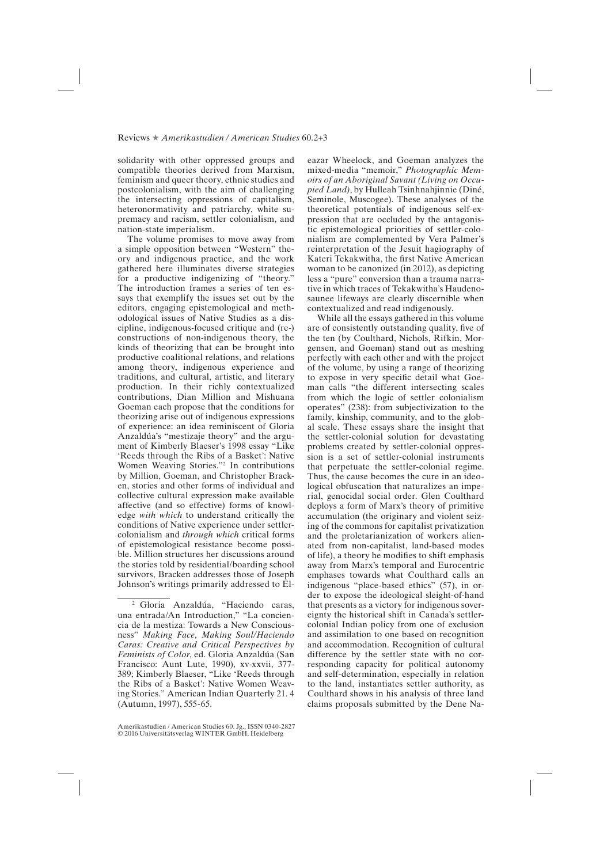## Reviews ★ *Amerikastudien / American Studies* 60.2+3

solidarity with other oppressed groups and compatible theories derived from Marxism, feminism and queer theory, ethnic studies and postcolonialism, with the aim of challenging the intersecting oppressions of capitalism, heteronormativity and patriarchy, white supremacy and racism, settler colonialism, and nation-state imperialism.

The volume promises to move away from a simple opposition between "Western" theory and indigenous practice, and the work gathered here illuminates diverse strategies for a productive indigenizing of "theory." The introduction frames a series of ten essays that exemplify the issues set out by the editors, engaging epistemological and methodological issues of Native Studies as a discipline, indigenous-focused critique and (re-) constructions of non-indigenous theory, the kinds of theorizing that can be brought into productive coalitional relations, and relations among theory, indigenous experience and traditions, and cultural, artistic, and literary production. In their richly contextualized contributions, Dian Million and Mishuana Goeman each propose that the conditions for theorizing arise out of indigenous expressions of experience: an idea reminiscent of Gloria Anzaldúa's "mestizaje theory" and the argument of Kimberly Blaeser's 1998 essay "Like 'Reeds through the Ribs of a Basket': Native Women Weaving Stories."2 In contributions by Million, Goeman, and Christopher Bracken, stories and other forms of individual and collective cultural expression make available affective (and so effective) forms of knowledge *with which* to understand critically the conditions of Native experience under settlercolonialism and *through which* critical forms of epistemological resistance become possible. Million structures her discussions around the stories told by residential/boarding school survivors, Bracken addresses those of Joseph Johnson's writings primarily addressed to Eleazar Wheelock, and Goeman analyzes the mixed-media "memoir," *Photographic Memoirs of an Aboriginal Savant (Living on Occupied Land)*, by Hulleah Tsinhnahjinnie (Diné, Seminole, Muscogee). These analyses of the theoretical potentials of indigenous self-expression that are occluded by the antagonistic epistemological priorities of settler-colonialism are complemented by Vera Palmer's reinterpretation of the Jesuit hagiography of Kateri Tekakwitha, the first Native American woman to be canonized (in 2012), as depicting less a "pure" conversion than a trauma narrative in which traces of Tekakwitha's Haudenosaunee lifeways are clearly discernible when contextualized and read indigenously.

While all the essays gathered in this volume are of consistently outstanding quality, five of the ten (by Coulthard, Nichols, Rifkin, Morgensen, and Goeman) stand out as meshing perfectly with each other and with the project of the volume, by using a range of theorizing to expose in very specific detail what Goeman calls "the different intersecting scales from which the logic of settler colonialism operates" (238): from subjectivization to the family, kinship, community, and to the global scale. These essays share the insight that the settler-colonial solution for devastating problems created by settler-colonial oppression is a set of settler-colonial instruments that perpetuate the settler-colonial regime. Thus, the cause becomes the cure in an ideological obfuscation that naturalizes an imperial, genocidal social order. Glen Coulthard deploys a form of Marx's theory of primitive accumulation (the originary and violent seizing of the commons for capitalist privatization and the proletarianization of workers alienated from non-capitalist, land-based modes of life), a theory he modifies to shift emphasis away from Marx's temporal and Eurocentric emphases towards what Coulthard calls an indigenous "place-based ethics" (57), in order to expose the ideological sleight-of-hand that presents as a victory for indigenous sovereignty the historical shift in Canada's settlercolonial Indian policy from one of exclusion and assimilation to one based on recognition and accommodation. Recognition of cultural difference by the settler state with no corresponding capacity for political autonomy and self-determination, especially in relation to the land, instantiates settler authority, as Coulthard shows in his analysis of three land claims proposals submitted by the Dene Na-

<sup>2</sup> Gloria Anzaldúa, "Haciendo caras, una entrada/An Introduction," "La conciencia de la mestiza: Towards a New Consciousness" *Making Face, Making Soul/Haciendo Caras: Creative and Critical Perspectives by Feminists of Color*, ed. Gloria Anzaldúa (San Francisco: Aunt Lute, 1990), xv-xxvii, 377- 389; Kimberly Blaeser, "Like 'Reeds through the Ribs of a Basket': Native Women Weaving Stories." American Indian Quarterly 21. 4 (Autumn, 1997), 555-65.

Amerikastudien / American Studies 60. Jg., ISSN 0340-2827 © 2016 Universitätsverlag WINTER GmbH, Heidelberg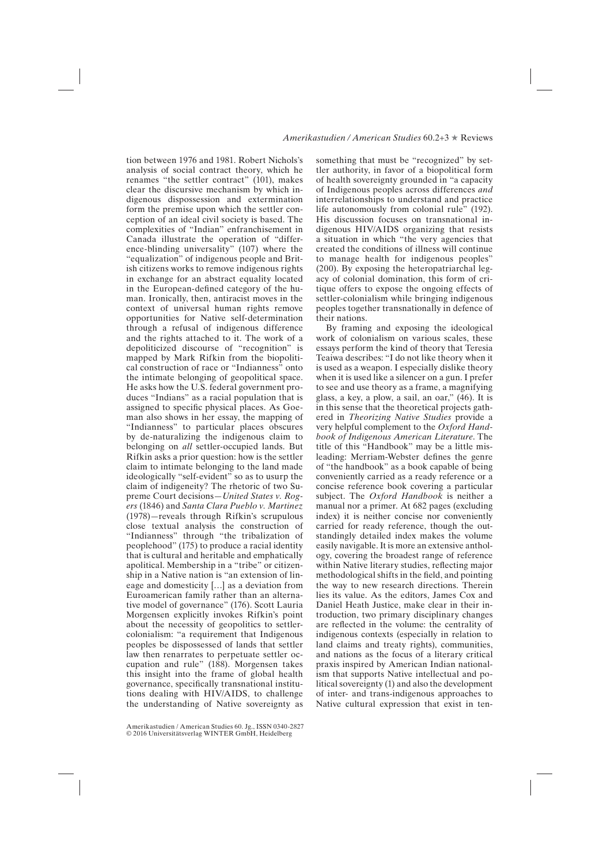## *Amerikastudien / American Studies* 60.2+3 ★ Reviews

tion between 1976 and 1981. Robert Nichols's analysis of social contract theory, which he renames "the settler contract" (101), makes clear the discursive mechanism by which indigenous dispossession and extermination form the premise upon which the settler conception of an ideal civil society is based. The complexities of "Indian" enfranchisement in Canada illustrate the operation of "difference-blinding universality" (107) where the "equalization" of indigenous people and British citizens works to remove indigenous rights in exchange for an abstract equality located in the European-defined category of the human. Ironically, then, antiracist moves in the context of universal human rights remove opportunities for Native self-determination through a refusal of indigenous difference and the rights attached to it. The work of a depoliticized discourse of "recognition" is mapped by Mark Rifkin from the biopolitical construction of race or "Indianness" onto the intimate belonging of geopolitical space. He asks how the U.S. federal government produces "Indians" as a racial population that is assigned to specific physical places. As Goeman also shows in her essay, the mapping of "Indianness" to particular places obscures by de-naturalizing the indigenous claim to belonging on *all* settler-occupied lands. But Rifkin asks a prior question: how is the settler claim to intimate belonging to the land made ideologically "self-evident" so as to usurp the claim of indigeneity? The rhetoric of two Supreme Court decisions—*United States v. Rogers* (1846) and *Santa Clara Pueblo v. Martinez* (1978)—reveals through Rifkin's scrupulous close textual analysis the construction of "Indianness" through "the tribalization of peoplehood" (175) to produce a racial identity that is cultural and heritable and emphatically apolitical. Membership in a "tribe" or citizenship in a Native nation is "an extension of lineage and domesticity […] as a deviation from Euroamerican family rather than an alternative model of governance" (176). Scott Lauria Morgensen explicitly invokes Rifkin's point about the necessity of geopolitics to settlercolonialism: "a requirement that Indigenous peoples be dispossessed of lands that settler law then renarrates to perpetuate settler occupation and rule" (188). Morgensen takes this insight into the frame of global health governance, specifically transnational institutions dealing with HIV/AIDS, to challenge the understanding of Native sovereignty as

Amerikastudien / American Studies 60. Jg., ISSN 0340-2827 © 2016 Universitätsverlag WINTER GmbH, Heidelberg

something that must be "recognized" by settler authority, in favor of a biopolitical form of health sovereignty grounded in "a capacity of Indigenous peoples across differences *and* interrelationships to understand and practice life autonomously from colonial rule" (192). His discussion focuses on transnational indigenous HIV/AIDS organizing that resists a situation in which "the very agencies that created the conditions of illness will continue to manage health for indigenous peoples" (200). By exposing the heteropatriarchal legacy of colonial domination, this form of critique offers to expose the ongoing effects of settler-colonialism while bringing indigenous peoples together transnationally in defence of their nations.

By framing and exposing the ideological work of colonialism on various scales, these essays perform the kind of theory that Teresia Teaiwa describes: "I do not like theory when it is used as a weapon. I especially dislike theory when it is used like a silencer on a gun. I prefer to see and use theory as a frame, a magnifying glass, a key, a plow, a sail, an oar," (46). It is in this sense that the theoretical projects gathered in *Theorizing Native Studies* provide a very helpful complement to the *Oxford Handbook of Indigenous American Literature*. The title of this "Handbook" may be a little misleading: Merriam-Webster defines the genre of "the handbook" as a book capable of being conveniently carried as a ready reference or a concise reference book covering a particular subject. The *Oxford Handbook* is neither a manual nor a primer. At 682 pages (excluding index) it is neither concise nor conveniently carried for ready reference, though the outstandingly detailed index makes the volume easily navigable. It is more an extensive anthology, covering the broadest range of reference within Native literary studies, reflecting major methodological shifts in the field, and pointing the way to new research directions. Therein lies its value. As the editors, James Cox and Daniel Heath Justice, make clear in their introduction, two primary disciplinary changes are reflected in the volume: the centrality of indigenous contexts (especially in relation to land claims and treaty rights), communities, and nations as the focus of a literary critical praxis inspired by American Indian nationalism that supports Native intellectual and political sovereignty (1) and also the development of inter- and trans-indigenous approaches to Native cultural expression that exist in ten-